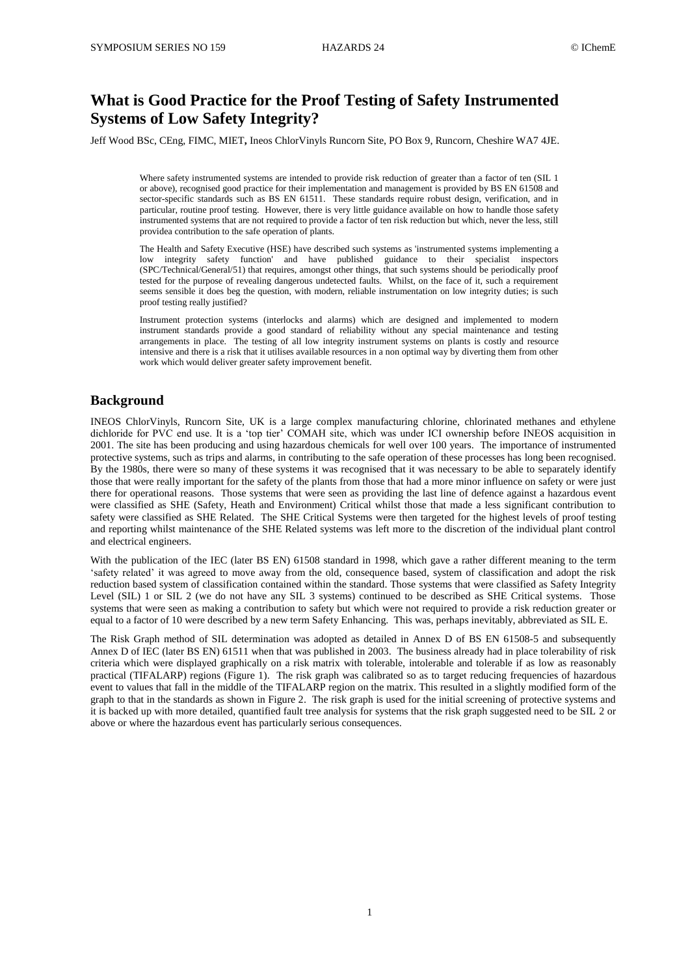# **What is Good Practice for the Proof Testing of Safety Instrumented Systems of Low Safety Integrity?**

Jeff Wood BSc, CEng, FIMC, MIET**,** Ineos ChlorVinyls Runcorn Site, PO Box 9, Runcorn, Cheshire WA7 4JE.

Where safety instrumented systems are intended to provide risk reduction of greater than a factor of ten (SIL 1) or above), recognised good practice for their implementation and management is provided by BS EN 61508 and sector-specific standards such as BS EN 61511. These standards require robust design, verification, and in particular, routine proof testing. However, there is very little guidance available on how to handle those safety instrumented systems that are not required to provide a factor of ten risk reduction but which, never the less, still providea contribution to the safe operation of plants.

The Health and Safety Executive (HSE) have described such systems as 'instrumented systems implementing a low integrity safety function' and have published guidance to their specialist inspectors (SPC/Technical/General/51) that requires, amongst other things, that such systems should be periodically proof tested for the purpose of revealing dangerous undetected faults. Whilst, on the face of it, such a requirement seems sensible it does beg the question, with modern, reliable instrumentation on low integrity duties; is such proof testing really justified?

Instrument protection systems (interlocks and alarms) which are designed and implemented to modern instrument standards provide a good standard of reliability without any special maintenance and testing arrangements in place. The testing of all low integrity instrument systems on plants is costly and resource intensive and there is a risk that it utilises available resources in a non optimal way by diverting them from other work which would deliver greater safety improvement benefit.

# **Background**

INEOS ChlorVinyls, Runcorn Site, UK is a large complex manufacturing chlorine, chlorinated methanes and ethylene dichloride for PVC end use. It is a 'top tier' COMAH site, which was under ICI ownership before INEOS acquisition in 2001. The site has been producing and using hazardous chemicals for well over 100 years. The importance of instrumented protective systems, such as trips and alarms, in contributing to the safe operation of these processes has long been recognised. By the 1980s, there were so many of these systems it was recognised that it was necessary to be able to separately identify those that were really important for the safety of the plants from those that had a more minor influence on safety or were just there for operational reasons. Those systems that were seen as providing the last line of defence against a hazardous event were classified as SHE (Safety, Heath and Environment) Critical whilst those that made a less significant contribution to safety were classified as SHE Related. The SHE Critical Systems were then targeted for the highest levels of proof testing and reporting whilst maintenance of the SHE Related systems was left more to the discretion of the individual plant control and electrical engineers.

With the publication of the IEC (later BS EN) 61508 standard in 1998, which gave a rather different meaning to the term 'safety related' it was agreed to move away from the old, consequence based, system of classification and adopt the risk reduction based system of classification contained within the standard. Those systems that were classified as Safety Integrity Level (SIL) 1 or SIL 2 (we do not have any SIL 3 systems) continued to be described as SHE Critical systems. Those systems that were seen as making a contribution to safety but which were not required to provide a risk reduction greater or equal to a factor of 10 were described by a new term Safety Enhancing. This was, perhaps inevitably, abbreviated as SIL E.

The Risk Graph method of SIL determination was adopted as detailed in Annex D of BS EN 61508-5 and subsequently Annex D of IEC (later BS EN) 61511 when that was published in 2003. The business already had in place tolerability of risk criteria which were displayed graphically on a risk matrix with tolerable, intolerable and tolerable if as low as reasonably practical (TIFALARP) regions (Figure 1). The risk graph was calibrated so as to target reducing frequencies of hazardous event to values that fall in the middle of the TIFALARP region on the matrix. This resulted in a slightly modified form of the graph to that in the standards as shown in Figure 2. The risk graph is used for the initial screening of protective systems and it is backed up with more detailed, quantified fault tree analysis for systems that the risk graph suggested need to be SIL 2 or above or where the hazardous event has particularly serious consequences.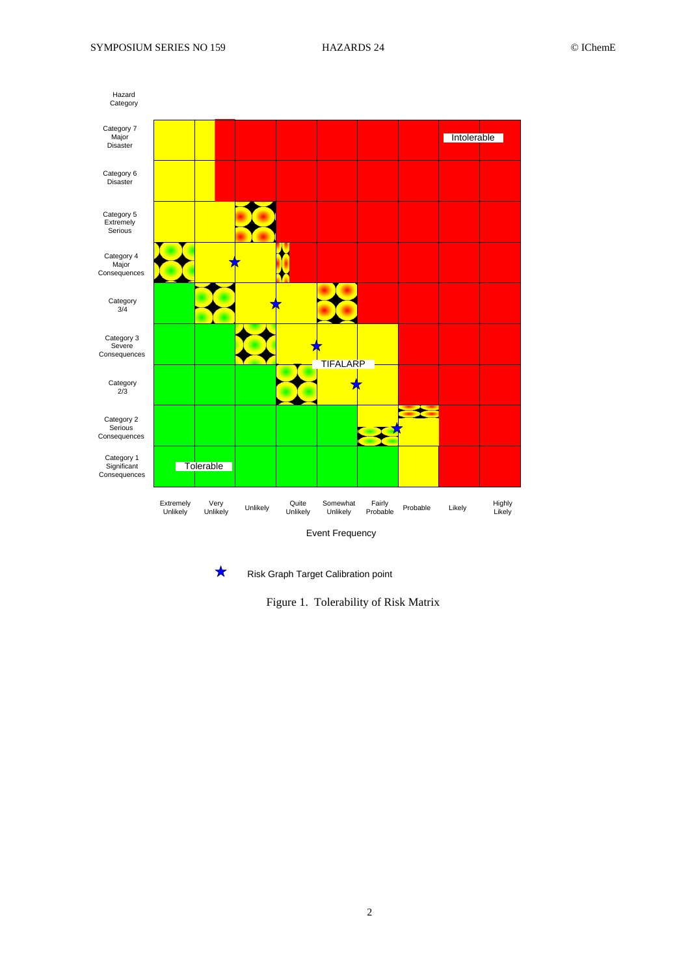



Figure 1. Tolerability of Risk Matrix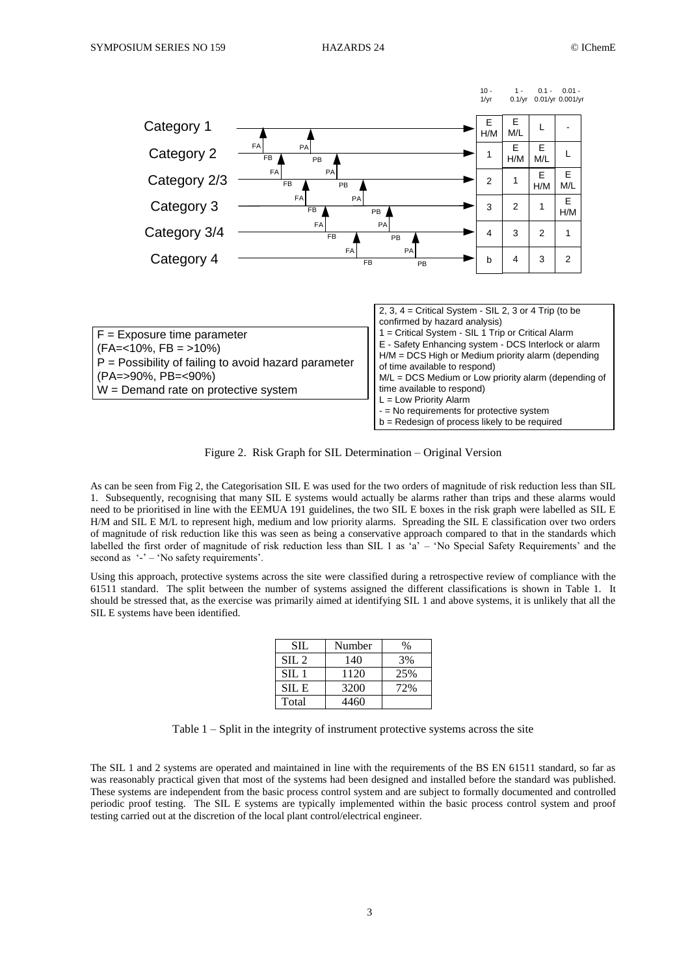

Figure 2. Risk Graph for SIL Determination – Original Version

As can be seen from Fig 2, the Categorisation SIL E was used for the two orders of magnitude of risk reduction less than SIL 1. Subsequently, recognising that many SIL E systems would actually be alarms rather than trips and these alarms would need to be prioritised in line with the EEMUA 191 guidelines, the two SIL E boxes in the risk graph were labelled as SIL E H/M and SIL E M/L to represent high, medium and low priority alarms. Spreading the SIL E classification over two orders of magnitude of risk reduction like this was seen as being a conservative approach compared to that in the standards which labelled the first order of magnitude of risk reduction less than SIL 1 as 'a' – 'No Special Safety Requirements' and the second as '-' – 'No safety requirements'.

Using this approach, protective systems across the site were classified during a retrospective review of compliance with the 61511 standard. The split between the number of systems assigned the different classifications is shown in Table 1. It should be stressed that, as the exercise was primarily aimed at identifying SIL 1 and above systems, it is unlikely that all the SIL E systems have been identified.

| <b>SIL</b>       | Number | %   |
|------------------|--------|-----|
| SL <sub>2</sub>  | 140    | 3%  |
| $\text{SII}$ . 1 | 1120   | 25% |
| SIL E            | 3200   | 72% |
| Total            | 4460   |     |

Table 1 – Split in the integrity of instrument protective systems across the site

The SIL 1 and 2 systems are operated and maintained in line with the requirements of the BS EN 61511 standard, so far as was reasonably practical given that most of the systems had been designed and installed before the standard was published. These systems are independent from the basic process control system and are subject to formally documented and controlled periodic proof testing. The SIL E systems are typically implemented within the basic process control system and proof testing carried out at the discretion of the local plant control/electrical engineer.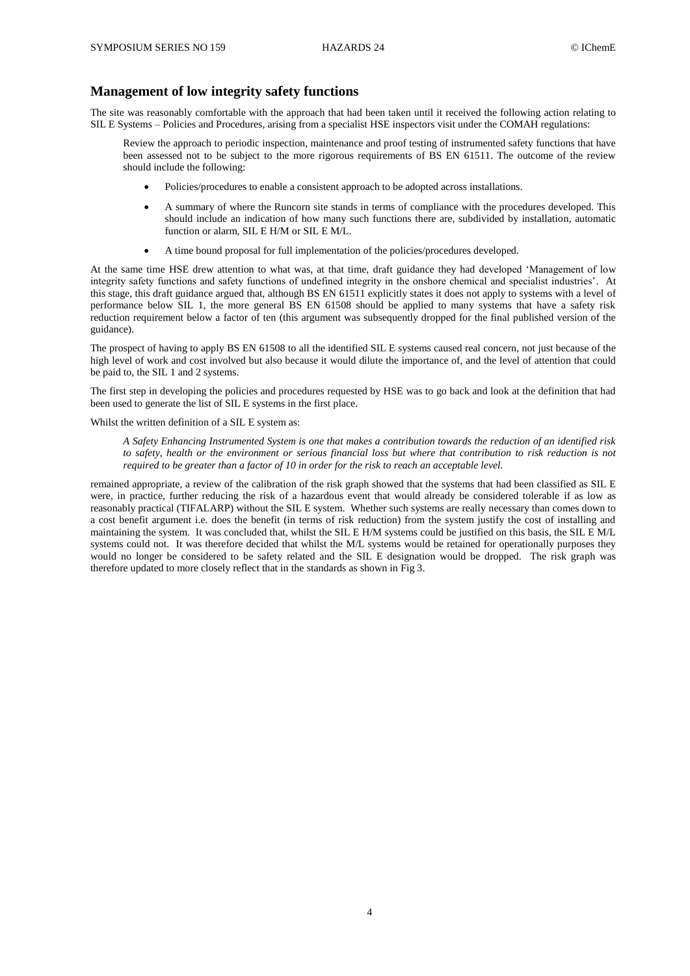# **Management of low integrity safety functions**

The site was reasonably comfortable with the approach that had been taken until it received the following action relating to SIL E Systems – Policies and Procedures, arising from a specialist HSE inspectors visit under the COMAH regulations:

Review the approach to periodic inspection, maintenance and proof testing of instrumented safety functions that have been assessed not to be subject to the more rigorous requirements of BS EN 61511. The outcome of the review should include the following:

- Policies/procedures to enable a consistent approach to be adopted across installations.
- A summary of where the Runcorn site stands in terms of compliance with the procedures developed. This should include an indication of how many such functions there are, subdivided by installation, automatic function or alarm, SIL E H/M or SIL E M/L.
- A time bound proposal for full implementation of the policies/procedures developed.

At the same time HSE drew attention to what was, at that time, draft guidance they had developed 'Management of low integrity safety functions and safety functions of undefined integrity in the onshore chemical and specialist industries'. At this stage, this draft guidance argued that, although BS EN 61511 explicitly states it does not apply to systems with a level of performance below SIL 1, the more general BS EN 61508 should be applied to many systems that have a safety risk reduction requirement below a factor of ten (this argument was subsequently dropped for the final published version of the guidance).

The prospect of having to apply BS EN 61508 to all the identified SIL E systems caused real concern, not just because of the high level of work and cost involved but also because it would dilute the importance of, and the level of attention that could be paid to, the SIL 1 and 2 systems.

The first step in developing the policies and procedures requested by HSE was to go back and look at the definition that had been used to generate the list of SIL E systems in the first place.

Whilst the written definition of a SIL E system as:

*A Safety Enhancing Instrumented System is one that makes a contribution towards the reduction of an identified risk to safety, health or the environment or serious financial loss but where that contribution to risk reduction is not required to be greater than a factor of 10 in order for the risk to reach an acceptable level.*

remained appropriate, a review of the calibration of the risk graph showed that the systems that had been classified as SIL E were, in practice, further reducing the risk of a hazardous event that would already be considered tolerable if as low as reasonably practical (TIFALARP) without the SIL E system. Whether such systems are really necessary than comes down to a cost benefit argument i.e. does the benefit (in terms of risk reduction) from the system justify the cost of installing and maintaining the system. It was concluded that, whilst the SIL E H/M systems could be justified on this basis, the SIL E M/L systems could not. It was therefore decided that whilst the M/L systems would be retained for operationally purposes they would no longer be considered to be safety related and the SIL E designation would be dropped. The risk graph was therefore updated to more closely reflect that in the standards as shown in Fig 3.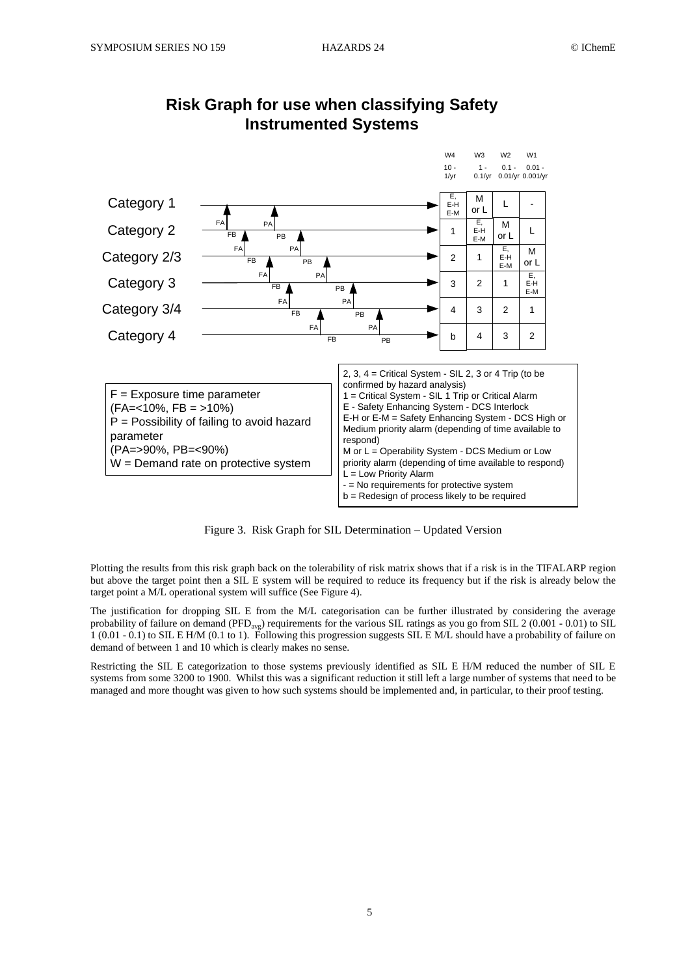

# **Risk Graph for use when classifying Safety Instrumented Systems**

Figure 3. Risk Graph for SIL Determination – Updated Version

Plotting the results from this risk graph back on the tolerability of risk matrix shows that if a risk is in the TIFALARP region but above the target point then a SIL E system will be required to reduce its frequency but if the risk is already below the target point a M/L operational system will suffice (See Figure 4).

The justification for dropping SIL E from the M/L categorisation can be further illustrated by considering the average probability of failure on demand ( $PFD_{\text{avg}}$ ) requirements for the various SIL ratings as you go from SIL 2 (0.001 - 0.01) to SIL 1 (0.01 - 0.1) to SIL E H/M (0.1 to 1). Following this progression suggests SIL E M/L should have a probability of failure on demand of between 1 and 10 which is clearly makes no sense.

Restricting the SIL E categorization to those systems previously identified as SIL E H/M reduced the number of SIL E systems from some 3200 to 1900. Whilst this was a significant reduction it still left a large number of systems that need to be managed and more thought was given to how such systems should be implemented and, in particular, to their proof testing.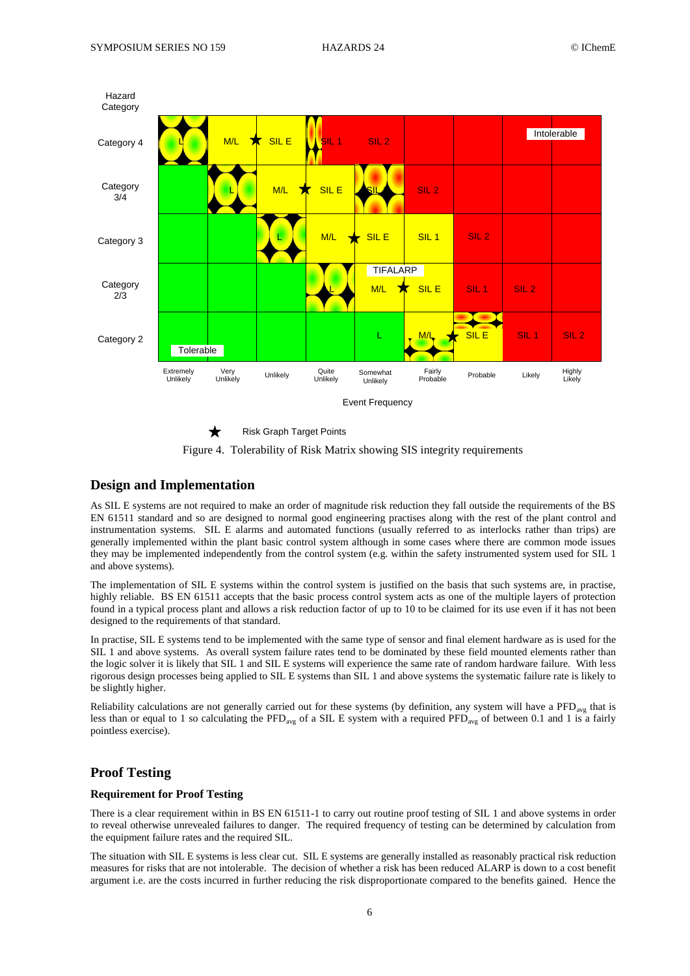



## **Design and Implementation**

As SIL E systems are not required to make an order of magnitude risk reduction they fall outside the requirements of the BS EN 61511 standard and so are designed to normal good engineering practises along with the rest of the plant control and instrumentation systems. SIL E alarms and automated functions (usually referred to as interlocks rather than trips) are generally implemented within the plant basic control system although in some cases where there are common mode issues they may be implemented independently from the control system (e.g. within the safety instrumented system used for SIL 1 and above systems).

The implementation of SIL E systems within the control system is justified on the basis that such systems are, in practise, highly reliable. BS EN 61511 accepts that the basic process control system acts as one of the multiple layers of protection found in a typical process plant and allows a risk reduction factor of up to 10 to be claimed for its use even if it has not been designed to the requirements of that standard.

In practise, SIL E systems tend to be implemented with the same type of sensor and final element hardware as is used for the SIL 1 and above systems. As overall system failure rates tend to be dominated by these field mounted elements rather than the logic solver it is likely that SIL 1 and SIL E systems will experience the same rate of random hardware failure. With less rigorous design processes being applied to SIL E systems than SIL 1 and above systems the systematic failure rate is likely to be slightly higher.

Reliability calculations are not generally carried out for these systems (by definition, any system will have a  $\text{PFD}_{\text{ave}}$  that is less than or equal to 1 so calculating the PFD<sub>avg</sub> of a SIL E system with a required PFD<sub>avg</sub> of between 0.1 and 1 is a fairly pointless exercise).

# **Proof Testing**

## **Requirement for Proof Testing**

There is a clear requirement within in BS EN 61511-1 to carry out routine proof testing of SIL 1 and above systems in order to reveal otherwise unrevealed failures to danger. The required frequency of testing can be determined by calculation from the equipment failure rates and the required SIL.

The situation with SIL E systems is less clear cut. SIL E systems are generally installed as reasonably practical risk reduction measures for risks that are not intolerable. The decision of whether a risk has been reduced ALARP is down to a cost benefit argument i.e. are the costs incurred in further reducing the risk disproportionate compared to the benefits gained. Hence the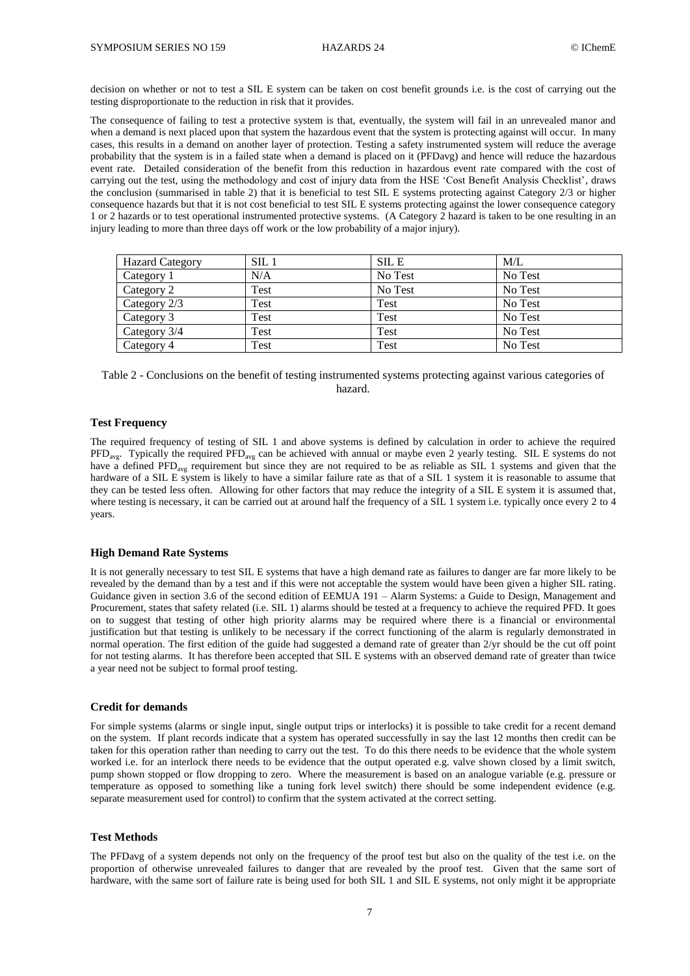decision on whether or not to test a SIL E system can be taken on cost benefit grounds i.e. is the cost of carrying out the testing disproportionate to the reduction in risk that it provides.

The consequence of failing to test a protective system is that, eventually, the system will fail in an unrevealed manor and when a demand is next placed upon that system the hazardous event that the system is protecting against will occur. In many cases, this results in a demand on another layer of protection. Testing a safety instrumented system will reduce the average probability that the system is in a failed state when a demand is placed on it (PFDavg) and hence will reduce the hazardous event rate. Detailed consideration of the benefit from this reduction in hazardous event rate compared with the cost of carrying out the test, using the methodology and cost of injury data from the HSE 'Cost Benefit Analysis Checklist', draws the conclusion (summarised in table 2) that it is beneficial to test SIL E systems protecting against Category 2/3 or higher consequence hazards but that it is not cost beneficial to test SIL E systems protecting against the lower consequence category 1 or 2 hazards or to test operational instrumented protective systems. (A Category 2 hazard is taken to be one resulting in an injury leading to more than three days off work or the low probability of a major injury).

| <b>Hazard Category</b> | SL1  | <b>SILE</b> | M/L     |
|------------------------|------|-------------|---------|
| Category 1             | N/A  | No Test     | No Test |
| Category 2             | Test | No Test     | No Test |
| Category 2/3           | Test | Test        | No Test |
| Category 3             | Test | Test        | No Test |
| Category 3/4           | Test | Test        | No Test |
| Category 4             | Test | Test        | No Test |

Table 2 - Conclusions on the benefit of testing instrumented systems protecting against various categories of hazard.

#### **Test Frequency**

The required frequency of testing of SIL 1 and above systems is defined by calculation in order to achieve the required  $\text{PFD}_{\text{avg}}$ . Typically the required  $\text{PFD}_{\text{avg}}$  can be achieved with annual or maybe even 2 yearly testing. SIL E systems do not have a defined PFD<sub>avg</sub> requirement but since they are not required to be as reliable as SIL 1 systems and given that the hardware of a SIL E system is likely to have a similar failure rate as that of a SIL 1 system it is reasonable to assume that they can be tested less often. Allowing for other factors that may reduce the integrity of a SIL E system it is assumed that, where testing is necessary, it can be carried out at around half the frequency of a SIL 1 system i.e. typically once every 2 to 4 years.

#### **High Demand Rate Systems**

It is not generally necessary to test SIL E systems that have a high demand rate as failures to danger are far more likely to be revealed by the demand than by a test and if this were not acceptable the system would have been given a higher SIL rating. Guidance given in section 3.6 of the second edition of EEMUA 191 – Alarm Systems: a Guide to Design, Management and Procurement, states that safety related (i.e. SIL 1) alarms should be tested at a frequency to achieve the required PFD. It goes on to suggest that testing of other high priority alarms may be required where there is a financial or environmental justification but that testing is unlikely to be necessary if the correct functioning of the alarm is regularly demonstrated in normal operation. The first edition of the guide had suggested a demand rate of greater than 2/yr should be the cut off point for not testing alarms. It has therefore been accepted that SIL E systems with an observed demand rate of greater than twice a year need not be subject to formal proof testing.

### **Credit for demands**

For simple systems (alarms or single input, single output trips or interlocks) it is possible to take credit for a recent demand on the system. If plant records indicate that a system has operated successfully in say the last 12 months then credit can be taken for this operation rather than needing to carry out the test. To do this there needs to be evidence that the whole system worked i.e. for an interlock there needs to be evidence that the output operated e.g. valve shown closed by a limit switch, pump shown stopped or flow dropping to zero. Where the measurement is based on an analogue variable (e.g. pressure or temperature as opposed to something like a tuning fork level switch) there should be some independent evidence (e.g. separate measurement used for control) to confirm that the system activated at the correct setting.

## **Test Methods**

The PFDavg of a system depends not only on the frequency of the proof test but also on the quality of the test i.e. on the proportion of otherwise unrevealed failures to danger that are revealed by the proof test. Given that the same sort of hardware, with the same sort of failure rate is being used for both SIL 1 and SIL E systems, not only might it be appropriate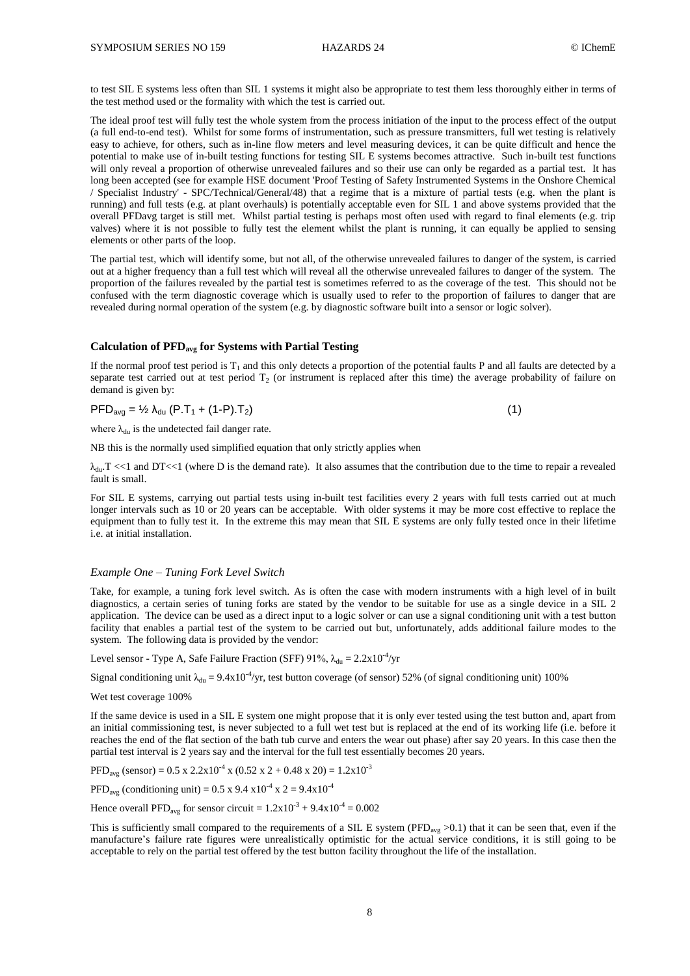to test SIL E systems less often than SIL 1 systems it might also be appropriate to test them less thoroughly either in terms of the test method used or the formality with which the test is carried out.

The ideal proof test will fully test the whole system from the process initiation of the input to the process effect of the output (a full end-to-end test). Whilst for some forms of instrumentation, such as pressure transmitters, full wet testing is relatively easy to achieve, for others, such as in-line flow meters and level measuring devices, it can be quite difficult and hence the potential to make use of in-built testing functions for testing SIL E systems becomes attractive. Such in-built test functions will only reveal a proportion of otherwise unrevealed failures and so their use can only be regarded as a partial test. It has long been accepted (see for example HSE document 'Proof Testing of Safety Instrumented Systems in the Onshore Chemical / Specialist Industry' - SPC/Technical/General/48) that a regime that is a mixture of partial tests (e.g. when the plant is running) and full tests (e.g. at plant overhauls) is potentially acceptable even for SIL 1 and above systems provided that the overall PFDavg target is still met. Whilst partial testing is perhaps most often used with regard to final elements (e.g. trip valves) where it is not possible to fully test the element whilst the plant is running, it can equally be applied to sensing elements or other parts of the loop.

The partial test, which will identify some, but not all, of the otherwise unrevealed failures to danger of the system, is carried out at a higher frequency than a full test which will reveal all the otherwise unrevealed failures to danger of the system. The proportion of the failures revealed by the partial test is sometimes referred to as the coverage of the test. This should not be confused with the term diagnostic coverage which is usually used to refer to the proportion of failures to danger that are revealed during normal operation of the system (e.g. by diagnostic software built into a sensor or logic solver).

## **Calculation of PFDavg for Systems with Partial Testing**

If the normal proof test period is  $T_1$  and this only detects a proportion of the potential faults P and all faults are detected by a separate test carried out at test period  $T_2$  (or instrument is replaced after this time) the average probability of failure on demand is given by:

$$
PFD_{\text{avg}} = \frac{1}{2} \lambda_{\text{du}} (P.T_1 + (1-P).T_2) \tag{1}
$$

$$
(1)
$$

where  $\lambda_{\text{du}}$  is the undetected fail danger rate.

NB this is the normally used simplified equation that only strictly applies when

 $\lambda_{\text{du}}$ . T <<1 and DT <<1 (where D is the demand rate). It also assumes that the contribution due to the time to repair a revealed fault is small.

For SIL E systems, carrying out partial tests using in-built test facilities every 2 years with full tests carried out at much longer intervals such as 10 or 20 years can be acceptable. With older systems it may be more cost effective to replace the equipment than to fully test it. In the extreme this may mean that SIL E systems are only fully tested once in their lifetime i.e. at initial installation.

#### *Example One – Tuning Fork Level Switch*

Take, for example, a tuning fork level switch. As is often the case with modern instruments with a high level of in built diagnostics, a certain series of tuning forks are stated by the vendor to be suitable for use as a single device in a SIL 2 application. The device can be used as a direct input to a logic solver or can use a signal conditioning unit with a test button facility that enables a partial test of the system to be carried out but, unfortunately, adds additional failure modes to the system. The following data is provided by the vendor:

Level sensor - Type A, Safe Failure Fraction (SFF)  $91\%$ ,  $\lambda_{du} = 2.2 \times 10^{-4}$ /yr

Signal conditioning unit  $\lambda_{du} = 9.4 \times 10^{-4}$ /yr, test button coverage (of sensor) 52% (of signal conditioning unit) 100%

#### Wet test coverage 100%

If the same device is used in a SIL E system one might propose that it is only ever tested using the test button and, apart from an initial commissioning test, is never subjected to a full wet test but is replaced at the end of its working life (i.e. before it reaches the end of the flat section of the bath tub curve and enters the wear out phase) after say 20 years. In this case then the partial test interval is 2 years say and the interval for the full test essentially becomes 20 years.

PFD<sub>avg</sub> (sensor) =  $0.5 \times 2.2 \times 10^{-4} \times (0.52 \times 2 + 0.48 \times 20) = 1.2 \times 10^{-3}$ 

PFD<sub>avg</sub> (conditioning unit) = 0.5 x 9.4 x10<sup>-4</sup> x 2 = 9.4x10<sup>-4</sup>

Hence overall PFD<sub>avg</sub> for sensor circuit =  $1.2 \times 10^{-3} + 9.4 \times 10^{-4} = 0.002$ 

This is sufficiently small compared to the requirements of a SIL E system (PFD<sub>avg</sub> >0.1) that it can be seen that, even if the manufacture's failure rate figures were unrealistically optimistic for the actual service conditions, it is still going to be acceptable to rely on the partial test offered by the test button facility throughout the life of the installation.